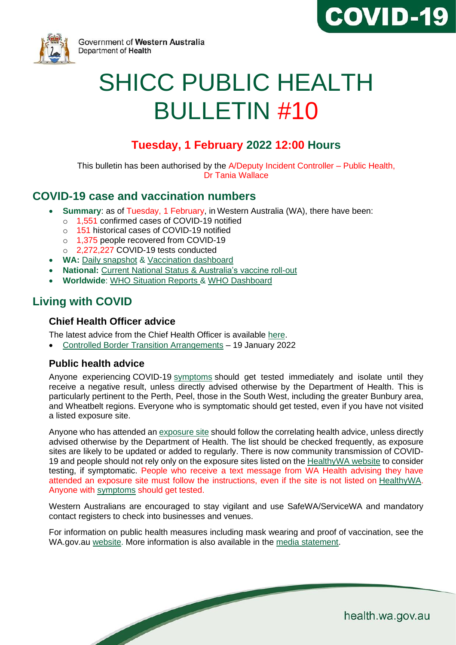



Government of Western Australia Department of Health

# SHICC PUBLIC HEALTH BULLETIN #10

# **Tuesday, 1 February 2022 12:00 Hours**

This bulletin has been authorised by the A/Deputy Incident Controller – Public Health, Dr Tania Wallace

# **COVID-19 case and vaccination numbers**

- **Summary**: as of Tuesday, 1 February, in Western Australia (WA), there have been:
	- o 1,551 confirmed cases of COVID-19 notified
	- o 151 historical cases of COVID-19 notified
	- o 1,375 people recovered from COVID-19
	- o 2,272,227 COVID-19 tests conducted
- **WA:** [Daily snapshot](https://ww2.health.wa.gov.au/Articles/A_E/Coronavirus/COVID19-statistics) & [Vaccination dashboard](https://www.wa.gov.au/organisation/covid-communications/covid-19-coronavirus-vaccination-dashboard)
- **National:** [Current National Status](https://www.health.gov.au/resources/publications/coronavirus-covid-19-at-a-glance) & [Australia's vaccine roll-out](https://www.health.gov.au/initiatives-and-programs/covid-19-vaccines/getting-vaccinated-for-covid-19#australias-vaccine-rollout.)
- **Worldwide**: [WHO Situation Reports](https://www.who.int/emergencies/diseases/novel-coronavirus-2019/situation-reports/) & [WHO Dashboard](https://covid19.who.int/?gclid=Cj0KCQjwoub3BRC6ARIsABGhnybJf9dNByiYKpY3Qg0cJoqEyKjTplKEgxKirThnHr726rZlvWG9ZVoaAo6FEALw_wcB)

# **Living with COVID**

## **Chief Health Officer advice**

The [latest advice](https://www.wa.gov.au/organisation/covid-communications/covid-19-coronavirus-chief-health-officer-advice) from the Chief Health Officer is available [here.](https://www.wa.gov.au/organisation/covid-communications/covid-19-coronavirus-chief-health-officer-advice)

• [Controlled Border Transition Arrangements](https://www.wa.gov.au/system/files/2022-01/CHO_HA_190122.pdf) – 19 January 2022

## **Public health advice**

Anyone experiencing COVID-19 [symptoms](https://www.healthywa.wa.gov.au/Articles/A_E/Coronavirus/COVID19-testing) should get tested immediately and isolate until they receive a negative result, unless directly advised otherwise by the Department of Health. This is particularly pertinent to the Perth, Peel, those in the South West, including the greater Bunbury area, and Wheatbelt regions. Everyone who is symptomatic should get tested, even if you have not visited a listed exposure site.

Anyone who has attended a[n exposure site](https://www.healthywa.wa.gov.au/Articles/A_E/Coronavirus/Locations-visited-by-confirmed-cases) should follow the correlating health advice, unless directly advised otherwise by the Department of Health. The list should be checked frequently, as exposure sites are likely to be updated or added to regularly. There is now community transmission of COVID-19 and people should not rely only on the exposure sites listed on the [HealthyWA website](https://www.healthywa.wa.gov.au/Articles/A_E/Coronavirus/Locations-visited-by-confirmed-cases) to consider testing, if symptomatic. People who receive a text message from WA Health advising they have attended an exposure site must follow the instructions, even if the site is not listed on [HealthyWA.](https://www.healthywa.wa.gov.au/articles/a_e/coronavirus/covid-clinics) Anyone with [symptoms](https://www.healthywa.wa.gov.au/Articles/A_E/Coronavirus/Managing-COVID19-at-home-and-in-the-community/COVID19-symptoms-what-to-expect) should get tested.

Western Australians are encouraged to stay vigilant and use SafeWA/ServiceWA and mandatory contact registers to check into businesses and venues.

For information on public health measures including mask wearing and proof of vaccination, see the [WA.gov.au](https://www.wa.gov.au/government/announcements/mask-mandate-eased-perth-and-peel) [website.](https://www.wa.gov.au/government/covid-19-coronavirus/covid-19-coronavirus-what-you-can-and-cant-do) More information is also available in the [media statement.](https://ww2.health.wa.gov.au/Media-releases/2022/COVID-19-update-1-February-2022)

health.wa.gov.au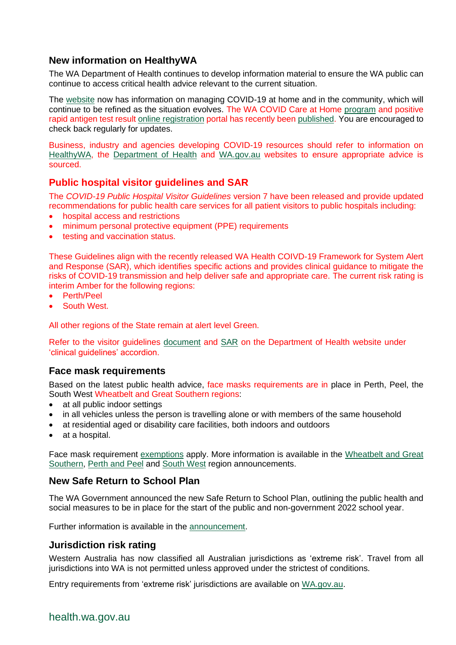## **New information on HealthyWA**

The WA Department of Health continues to develop information material to ensure the WA public can continue to access critical health advice relevant to the current situation.

The [website](https://www.healthywa.wa.gov.au/Articles/A_E/Coronavirus/Managing-COVID19-at-home-and-in-the-community) now has information on managing COVID-19 at home and in the community, which will continue to be refined as the situation evolves. The WA COVID Care at Home [program](https://www.healthywa.wa.gov.au/Articles/A_E/Coronavirus/Managing-COVID19-at-home-and-in-the-community/WA-COVID-Care-at-Home) and positive rapid antigen test result [online registration](https://datalibrary-rc.health.wa.gov.au/surveys/index.php?s=WDLLNTW4RDX8AWPH) portal has recently been [published.](https://www.healthywa.wa.gov.au/Articles/A_E/Coronavirus) You are encouraged to check back regularly for updates.

Business, industry and agencies developing COVID-19 resources should refer to information on [HealthyWA,](https://www.healthywa.wa.gov.au/Articles/A_E/Coronavirus) the [Department of Health](https://ww2.health.wa.gov.au/Articles/A_E/Coronavirus) and [WA.gov.au](https://www.wa.gov.au/) websites to ensure appropriate advice is sourced.

## **Public hospital visitor guidelines and SAR**

The *COVID-19 Public Hospital Visitor Guidelines* version 7 have been released and provide updated recommendations for public health care services for all patient visitors to public hospitals including:

- hospital access and restrictions
- minimum personal protective equipment (PPE) requirements
- testing and vaccination status.

These Guidelines align with the recently released WA Health COIVD-19 Framework for System Alert and Response (SAR), which identifies specific actions and provides clinical guidance to mitigate the risks of COVID-19 transmission and help deliver safe and appropriate care. The current risk rating is interim Amber for the following regions:

- Perth/Peel
- South West.

All other regions of the State remain at alert level Green.

Refer to the visitor guidelines [document](https://ww2.health.wa.gov.au/~/media/Corp/Documents/Health-for/Infectious-disease/COVID19/COVID19-Public-hospital-visitor-guidelines.pdf) and [SAR](https://ww2.health.wa.gov.au/~/media/Corp/Documents/Health-for/Infectious-disease/COVID19/WA-Health-COVID-19-Framework-for-System-Alert-and-Response.pdf) on the Department of Health website under 'clinical guidelines' accordion.

#### **Face mask requirements**

Based on the latest public health advice, face masks requirements are in place in Perth, Peel, the South West Wheatbelt and Great Southern regions:

- at all public indoor settings
- in all vehicles unless the person is travelling alone or with members of the same household
- at residential aged or disability care facilities, both indoors and outdoors
- at a hospital.

Face mask requirement [exemptions](https://www.wa.gov.au/government/publications/covid-19-coronavirus-public-health-and-social-measures-perth-peel-and-the-south-west-frequently-asked-questions#exemptions-from-mask-requirements) apply. More information is available in the [Wheatbelt and Great](https://www.wa.gov.au/government/announcements/masks-mandatory-wheatbelt-and-great-southern)  [Southern,](https://www.wa.gov.au/government/announcements/masks-mandatory-wheatbelt-and-great-southern) [Perth and Peel](https://www.wa.gov.au/government/announcements/masks-mandatory-perth-and-peel) and [South West](https://www.wa.gov.au/government/announcements/masks-introduced-the-south-west-region) region announcements.

#### **New Safe Return to School Plan**

The WA Government announced the new Safe Return to School Plan, outlining the public health and social measures to be in place for the start of the public and non-government 2022 school year.

Further information is available in the [announcement.](https://www.wa.gov.au/government/announcements/western-australian-schools-safely-open-learning-term-1)

#### **Jurisdiction risk rating**

Western Australia has now classified all Australian jurisdictions as 'extreme risk'. Travel from all jurisdictions into WA is not permitted unless approved under the strictest of conditions.

Entry requirements from 'extreme risk' jurisdictions are available on [WA.gov.au.](https://www.wa.gov.au/organisation/covid-communications/covid-19-coronavirus-controlled-border)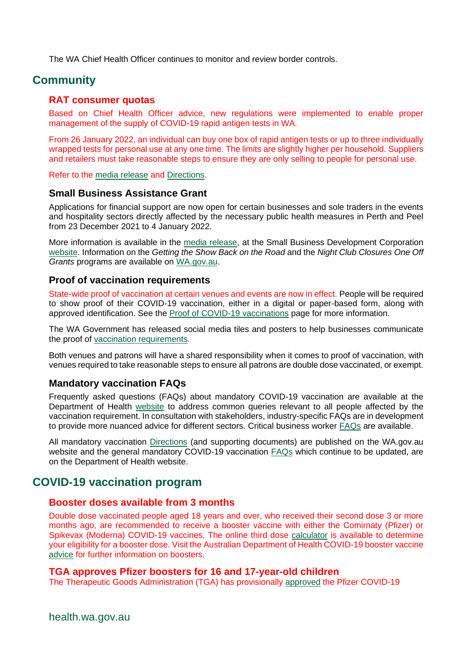The WA Chief Health Officer continues to monitor and review border controls.

# **Community**

#### **RAT consumer quotas**

Based on Chief Health Officer advice, new regulations were implemented to enable proper management of the supply of COVID-19 rapid antigen tests in WA.

From 26 January 2022, an individual can buy one box of rapid antigen tests or up to three individually wrapped tests for personal use at any one time. The limits are slightly higher per household. Suppliers and retailers must take reasonable steps to ensure they are only selling to people for personal use.

Refer to the [media release](https://ww2.health.wa.gov.au/Media-releases/2022/New-consumer-quotas-for-rapid-antigen-tests-announced) and Directions.

#### **Small Business Assistance Grant**

Applications for financial support are now open for certain businesses and sole traders in the events and hospitality sectors directly affected by the necessary public health measures in Perth and Peel from 23 December 2021 to 4 January 2022.

More information is available in the [media release,](https://www.mediastatements.wa.gov.au/Pages/McGowan/2022/01/Applications-now-open-for-small-business-assistance.aspx) at the Small Business Development Corporation [website.](https://www.smallbusiness.wa.gov.au/assistance-grant) Information on the *Getting the Show Back on the Road* and the *Night Club Closures One Off Grants* programs are available on [WA.gov.au.](https://www.dlgsc.wa.gov.au/funding/arts-funding/getting-the-show-back-on-the-road)

#### **Proof of vaccination requirements**

State-wide proof of vaccination at certain venues and events are now in effect. People will be required to show proof of their COVID-19 vaccination, either in a digital or paper-based form, along with approved identification. See the [Proof of COVID-19 vaccinations](https://www.wa.gov.au/government/covid-19-coronavirus/covid-19-coronavirus-proof-of-covid-19-vaccinations) page for more information.

The WA Government has released social media tiles and posters to help businesses communicate the proof of [vaccination requirements.](https://www.wa.gov.au/government/document-collections/covid-19-coronavirus-safe-transition-stakeholder-toolkit#proof-of-vaccination)

Both venues and patrons will have a shared responsibility when it comes to proof of vaccination, with venues required to take reasonable steps to ensure all patrons are double dose vaccinated, or exempt.

#### **Mandatory vaccination FAQs**

Frequently asked questions (FAQs) about mandatory COVID-19 vaccination are available at the Department of Health [website](https://ww2.health.wa.gov.au/Articles/A_E/Coronavirus/COVID19-vaccination-program/Mandatory-COVID19-vaccination) to address common queries relevant to all people affected by the vaccination requirement. In consultation with stakeholders, industry-specific FAQs are in development to provide more nuanced advice for different sectors. Critical business worker [FAQs](https://ww2.health.wa.gov.au/~/media/Corp/Documents/Health-for/Infectious-disease/COVID19/COVID19-Mandatory-vaccination-FAQs-critical-businesses-worker.pdf) are available.

All mandatory vaccination [Directions](https://www.wa.gov.au/government/document-collections/covid-19-coronavirus-mandatory-vaccination) (and supporting documents) are published on the WA.gov.au website and the general mandatory COVID-19 vaccination [FAQs](https://ww2.health.wa.gov.au/Articles/A_E/Coronavirus/COVID19-vaccination-program/Mandatory-COVID19-vaccination) which continue to be updated, are on the Department of Health website.

## **COVID-19 vaccination program**

#### **Booster doses available from 3 months**

Double dose vaccinated people aged 18 years and over, who received their second dose 3 or more months ago, are recommended to receive a booster vaccine with either the Comirnaty (Pfizer) or Spikevax (Moderna) COVID-19 vaccines. The online third dose [calculator](https://rollup.wa.gov.au/) is available to determine your eligibility for a booster dose. Visit the Australian Department of Health COVID-19 booster vaccine [advice](https://www.health.gov.au/initiatives-and-programs/covid-19-vaccines/getting-your-vaccination/booster-doses#who-should-get-a-booster-dose) for further information on boosters.

#### **TGA approves Pfizer boosters for 16 and 17-year-old children**

The Therapeutic Goods Administration (TGA) has provisionally [approved](https://www.tga.gov.au/media-release/pfizers-covid-19-vaccine-comirnaty-provisionally-approved-use-booster-individuals-aged-16-17-years-old) the Pfizer COVID-19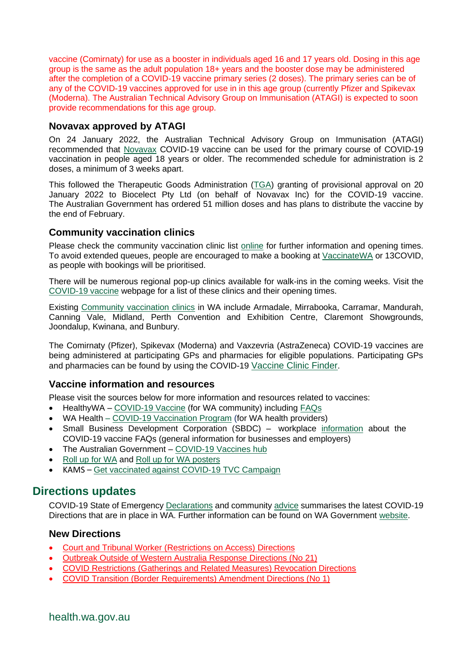vaccine (Comirnaty) for use as a booster in individuals aged 16 and 17 years old. Dosing in this age group is the same as the adult population 18+ years and the booster dose may be administered after the completion of a COVID-19 vaccine primary series (2 doses). The primary series can be of any of the COVID-19 vaccines approved for use in in this age group (currently Pfizer and Spikevax (Moderna). The Australian Technical Advisory Group on Immunisation (ATAGI) is expected to soon provide recommendations for this age group.

## **Novavax approved by ATAGI**

On 24 January 2022, the Australian Technical Advisory Group on Immunisation (ATAGI) recommended that [Novavax](https://www.health.gov.au/news/atagi-statement-on-the-use-of-novavax-covid-19-vaccine-nuvaxovid) COVID-19 vaccine can be used for the primary course of COVID-19 vaccination in people aged 18 years or older. The recommended schedule for administration is 2 doses, a minimum of 3 weeks apart.

This followed the Therapeutic Goods Administration [\(TGA\)](https://www.tga.gov.au/media-release/tga-provisionally-approves-novavax-biocelect-pty-ltds-covid-19-vaccine-nuvaxovid) granting of provisional approval on 20 January 2022 to Biocelect Pty Ltd (on behalf of Novavax Inc) for the COVID-19 vaccine. The Australian Government has ordered 51 million doses and has plans to distribute the vaccine by the end of February.

## **Community vaccination clinics**

Please check the community vaccination clinic list [online](https://www.healthywa.wa.gov.au/Articles/A_E/Coronavirus/COVID19-vaccine) for further information and opening times. To avoid extended queues, people are encouraged to make a booking at [VaccinateWA](https://vaccinatewa.health.wa.gov.au/s/login/?ec=302&startURL=%2Fs%2F) or 13COVID, as people with bookings will be prioritised.

There will be numerous regional pop-up clinics available for walk-ins in the coming weeks. Visit the [COVID-19 vaccine](https://www.healthywa.wa.gov.au/Articles/A_E/Coronavirus/COVID19-vaccine/Online-booking-FAQs) webpage for a list of these clinics and their opening times.

Existing [Community vaccination](https://www.healthywa.wa.gov.au/Articles/A_E/Coronavirus/COVID19-vaccine) clinics in WA include Armadale, Mirrabooka, Carramar, Mandurah, Canning Vale, Midland, Perth Convention and Exhibition Centre, Claremont Showgrounds, Joondalup, Kwinana, and Bunbury.

The Comirnaty (Pfizer), Spikevax (Moderna) and Vaxzevria (AstraZeneca) COVID-19 vaccines are being administered at participating GPs and pharmacies for eligible populations. Participating GPs and pharmacies can be found by using the COVID-19 [Vaccine Clinic Finder](https://www.health.gov.au/resources/apps-and-tools/covid-19-vaccine-clinic-finder).

## **Vaccine information and resources**

Please visit the sources below for more information and resources related to vaccines:

- HealthyWA [COVID-19 Vaccine](https://ww2.health.wa.gov.au/sitecore/content/Healthy-WA/Articles/A_E/Coronavirus/COVID19-vaccine) (for WA community) including [FAQs](https://ww2.health.wa.gov.au/sitecore/content/Healthy-WA/Articles/A_E/Coronavirus/COVID19-vaccine/FAQs)
- WA Health [COVID-19 Vaccination Program](https://ww2.health.wa.gov.au/Articles/A_E/Coronavirus/COVID19-vaccination-program) (for WA health providers)
- Small Business Development Corporation (SBDC) workplace [information](https://www.smallbusiness.wa.gov.au/blog/faqs-workplace-information-about-covid-19-vaccine) about the COVID-19 vaccine FAQs (general information for businesses and employers)
- The Australian Government [COVID-19 Vaccines hub](https://www.health.gov.au/initiatives-and-programs/covid-19-vaccines)
- Roll [up for WA](https://rollup.wa.gov.au/) and Roll [up for WA posters](https://www.dlgsc.wa.gov.au/department/news/news-article/2021/06/09/roll-up-for-wa-posters)
- KAMS [Get vaccinated against COVID-19](https://kimberley-vaccines.multiscreensite.com/kams-2021-vaccine-campaign) TVC Campaign

# **Directions updates**

COVID-19 State of Emergency [Declarations](https://www.wa.gov.au/government/document-collections/covid-19-coronavirus-state-of-emergency-declarations) and community [advice](https://www.wa.gov.au/organisation/department-of-the-premier-and-cabinet/covid-19-coronavirus-community-advice) summarises the latest COVID-19 Directions that are in place in WA. Further information can be found on WA Government [website.](https://www.wa.gov.au/government/covid-19-coronavirus)

## **New Directions**

- [Court and Tribunal Worker \(Restrictions on](https://www.wa.gov.au/government/publications/court-and-tribunal-worker-restrictions-access-directions) Access) Directions
- [Outbreak Outside of Western Australia Response Directions \(No 21\)](https://www.wa.gov.au/government/publications/outbreak-outside-of-western-australia-response-directions-no-21)
- [COVID Restrictions \(Gatherings and Related Measures\) Revocation Directions](https://www.wa.gov.au/government/publications/covid-restrictions-gatherings-and-related-measures-revocation-directions)
- [COVID Transition \(Border Requirements\) Amendment Directions \(No 1\)](https://www.wa.gov.au/government/publications/covid-transition-border-requirements-amendment-directions-no-1)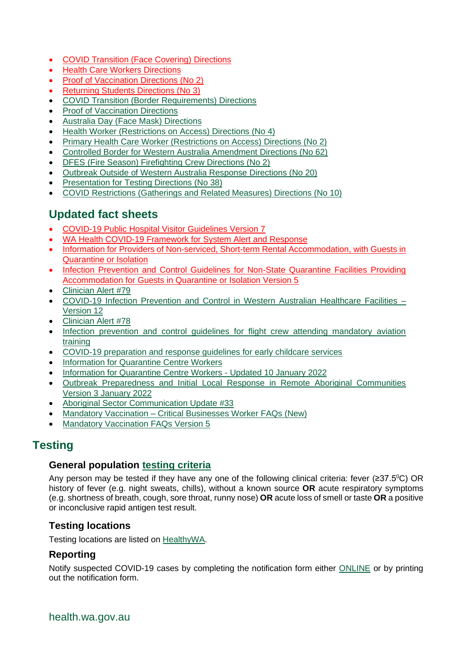- [COVID Transition \(Face Covering\) Directions](https://www.wa.gov.au/government/publications/covid-transition-face-covering-directions)
- [Health Care Workers Directions](https://www.wa.gov.au/government/publications/health-care-workers-directions)
- [Proof of Vaccination Directions \(No 2\)](https://www.wa.gov.au/government/publications/proof-of-vaccination-directions-no-2)
- [Returning Students Directions \(No 3\)](https://www.wa.gov.au/government/publications/returning-students-directions-no-3)
- [COVID Transition \(Border Requirements\) Directions](https://www.wa.gov.au/government/publications/covid-transition-border-requirements-directions)
- **[Proof of Vaccination Directions](https://www.wa.gov.au/government/publications/proof-of-vaccination-directions)**
- [Australia Day \(Face Mask\) Directions](https://www.wa.gov.au/government/publications/australia-day-face-mask-directions)
- [Health Worker \(Restrictions on Access\) Directions \(No 4\)](https://www.wa.gov.au/government/publications/health-worker-restrictions-access-directions-no-4)
- [Primary Health Care Worker \(Restrictions on Access\) Directions \(No 2\)](https://www.wa.gov.au/government/publications/primary-health-care-worker-restrictions-access-directions-no-2)
- [Controlled Border for Western Australia Amendment Directions \(No 62\)](https://www.wa.gov.au/government/publications/controlled-border-western-australia-amendment-directions-no-62)
- [DFES \(Fire Season\) Firefighting Crew Directions \(No 2\)](https://www.wa.gov.au/government/publications/dfes-fire-season-firefighting-crew-directions-no-2)
- [Outbreak Outside of Western Australia Response Directions \(No 20\)](https://www.wa.gov.au/government/publications/outbreak-outside-of-western-australia-response-directions-no-20)
- [Presentation for Testing Directions \(No 38\)](https://www.wa.gov.au/government/publications/presentation-testing-directions-no-38)
- [COVID Restrictions \(Gatherings and Related Measures\) Directions \(No 10\)](https://www.wa.gov.au/government/publications/covid-restrictions-gatherings-and-related-measures-directions-no-10)

# **Updated fact sheets**

- [COVID-19 Public Hospital Visitor Guidelines Version 7](https://ww2.health.wa.gov.au/~/media/Corp/Documents/Health-for/Infectious-disease/COVID19/COVID19-Public-hospital-visitor-guidelines.pdf)
- [WA Health COVID-19 Framework for System Alert and Response](https://ww2.health.wa.gov.au/~/media/Corp/Documents/Health-for/Infectious-disease/COVID19/WA-Health-COVID-19-Framework-for-System-Alert-and-Response.pdf)
- [Information for Providers of Non-serviced, Short-term Rental Accommodation, with Guests in](https://www.healthywa.wa.gov.au/~/media/Corp/Documents/Health-for/Infectious-disease/COVID19/COVID19-Information-for-short-term-accommodation-providers-with-guests-in-quarantine-or-isolation.pdf)  [Quarantine or Isolation](https://www.healthywa.wa.gov.au/~/media/Corp/Documents/Health-for/Infectious-disease/COVID19/COVID19-Information-for-short-term-accommodation-providers-with-guests-in-quarantine-or-isolation.pdf)
- [Infection Prevention and Control Guidelines for Non-State Quarantine Facilities Providing](https://www.healthywa.wa.gov.au/~/media/Files/Corporate/general-documents/Infectious-diseases/PDF/Coronavirus/COVID19-Standard-for-non-State-quarantine-facilities-providing-accommodation.pdf)  [Accommodation for Guests in Quarantine or Isolation Version 5](https://www.healthywa.wa.gov.au/~/media/Files/Corporate/general-documents/Infectious-diseases/PDF/Coronavirus/COVID19-Standard-for-non-State-quarantine-facilities-providing-accommodation.pdf)
- [Clinician Alert #79](https://ww2.health.wa.gov.au/~/media/Corp/Documents/Health-for/Infectious-disease/COVID19/COVID-19-Clinician-Alert-WA-79.pdf)
- [COVID-19 Infection Prevention and Control in Western Australian Healthcare Facilities –](https://ww2.health.wa.gov.au/~/media/Corp/Documents/Health-for/Infectious-disease/COVID19/COVID19-Infection-Prevention-and-Control-in-Hospitals.pdf) [Version 12](https://ww2.health.wa.gov.au/~/media/Corp/Documents/Health-for/Infectious-disease/COVID19/COVID19-Infection-Prevention-and-Control-in-Hospitals.pdf)
- [Clinician Alert #78](https://ww2.health.wa.gov.au/~/media/Corp/Documents/Health-for/Infectious-disease/COVID19/COVID-19-Clinician-Alert-WA-78.pdf)
- [Infection prevention and control guidelines for flight crew attending mandatory aviation](https://www.healthywa.wa.gov.au/~/media/Corp/Documents/Health-for/Infectious-disease/COVID19/COVID19-IPC-guidelines-for-flight-crew-attending-mandatory-aviation-training.pdf#:~:text=All%20flight%20crew%20must%20receive%20IPC%20education%20and,plane%20and%20prior%20to%20entry%20into%20the%20terminal.)  [training](https://www.healthywa.wa.gov.au/~/media/Corp/Documents/Health-for/Infectious-disease/COVID19/COVID19-IPC-guidelines-for-flight-crew-attending-mandatory-aviation-training.pdf#:~:text=All%20flight%20crew%20must%20receive%20IPC%20education%20and,plane%20and%20prior%20to%20entry%20into%20the%20terminal.)
- [COVID-19 preparation and response guidelines for early childcare services](https://www.wa.gov.au/system/files/2022-01/WA-Health-COVID-19-preparation-and-response-guidelines-for-early-childcare-services.pdf)
- **[Information for Quarantine Centre Workers](https://www.healthywa.wa.gov.au/-/media/HWA/Documents/Health-conditions/COVID19/COVID19-Quarantine-centre-workers.pdf)**
- [Information for Quarantine Centre Workers -](https://www.healthywa.wa.gov.au/-/media/HWA/Documents/Health-conditions/COVID19/COVID19-Quarantine-centre-workers.pdf) Updated 10 January 2022
- [Outbreak Preparedness and Initial Local Response in Remote Aboriginal Communities](https://ww2.health.wa.gov.au/~/media/Corp/Documents/Health-for/Infectious-disease/COVID19/COVID19-Remote-Aboriginal-Communities-Outbreak-Communications-Package.pdf)  [Version 3 January 2022](https://ww2.health.wa.gov.au/~/media/Corp/Documents/Health-for/Infectious-disease/COVID19/COVID19-Remote-Aboriginal-Communities-Outbreak-Communications-Package.pdf)
- [Aboriginal Sector Communication Update #33](https://ww2.health.wa.gov.au/~/media/Corp/Documents/Health-for/Infectious-disease/COVID19/COVID19-Aboriginal-Sector-Communications-Update-33.pdf)
- Mandatory Vaccination [Critical Businesses Worker FAQs](https://ww2.health.wa.gov.au/~/media/Corp/Documents/Health-for/Infectious-disease/COVID19/COVID19-Mandatory-vaccination-FAQs-critical-businesses-worker.pdf) (New)
- [Mandatory Vaccination FAQs Version 5](https://ww2.health.wa.gov.au/~/media/Corp/Documents/Health-for/Infectious-disease/COVID19/Vaccination/COVID19-Mandatory-vaccination-FAQs.pdf)

# **Testing**

#### **General population [testing criteria](https://www.healthywa.wa.gov.au/sitecore/content/Corporate/Articles/A_E/Coronavirus/COVID19-information-for-health-professionals)**

Any person may be tested if they have any one of the following clinical criteria: fever ( $\geq 37.5^{\circ}$ C) OR history of fever (e.g. night sweats, chills), without a known source **OR** acute respiratory symptoms (e.g. shortness of breath, cough, sore throat, runny nose) **OR** acute loss of smell or taste **OR** a positive or inconclusive rapid antigen test result.

## **Testing locations**

Testing locations are listed on [HealthyWA.](https://healthywa.wa.gov.au/Articles/A_E/COVID-clinics)

## **Reporting**

Notify suspected COVID-19 cases by completing the notification form either [ONLINE](https://cdcwa.health.wa.gov.au/surveys/?s=3PANDLMR84) or by printing out the notification form.